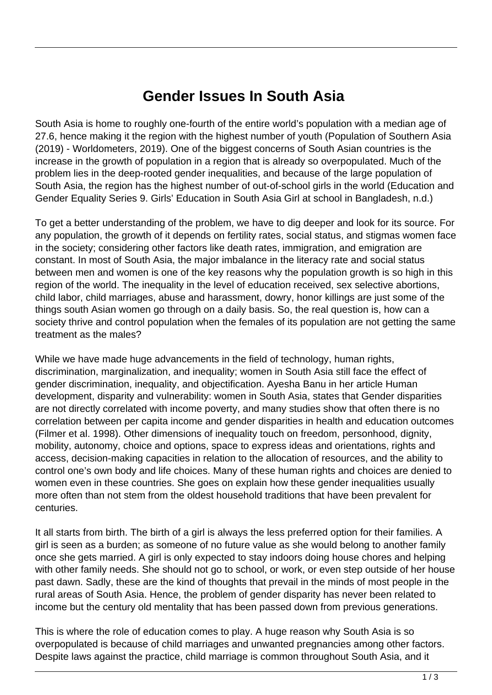## **Gender Issues In South Asia**

South Asia is home to roughly one-fourth of the entire world's population with a median age of 27.6, hence making it the region with the highest number of youth (Population of Southern Asia (2019) - Worldometers, 2019). One of the biggest concerns of South Asian countries is the increase in the growth of population in a region that is already so overpopulated. Much of the problem lies in the deep-rooted gender inequalities, and because of the large population of South Asia, the region has the highest number of out-of-school girls in the world (Education and Gender Equality Series 9. Girls' Education in South Asia Girl at school in Bangladesh, n.d.)

To get a better understanding of the problem, we have to dig deeper and look for its source. For any population, the growth of it depends on fertility rates, social status, and stigmas women face in the society; considering other factors like death rates, immigration, and emigration are constant. In most of South Asia, the major imbalance in the literacy rate and social status between men and women is one of the key reasons why the population growth is so high in this region of the world. The inequality in the level of education received, sex selective abortions, child labor, child marriages, abuse and harassment, dowry, honor killings are just some of the things south Asian women go through on a daily basis. So, the real question is, how can a society thrive and control population when the females of its population are not getting the same treatment as the males?

While we have made huge advancements in the field of technology, human rights, discrimination, marginalization, and inequality; women in South Asia still face the effect of gender discrimination, inequality, and objectification. Ayesha Banu in her article Human development, disparity and vulnerability: women in South Asia, states that Gender disparities are not directly correlated with income poverty, and many studies show that often there is no correlation between per capita income and gender disparities in health and education outcomes (Filmer et al. 1998). Other dimensions of inequality touch on freedom, personhood, dignity, mobility, autonomy, choice and options, space to express ideas and orientations, rights and access, decision-making capacities in relation to the allocation of resources, and the ability to control one's own body and life choices. Many of these human rights and choices are denied to women even in these countries. She goes on explain how these gender inequalities usually more often than not stem from the oldest household traditions that have been prevalent for centuries.

It all starts from birth. The birth of a girl is always the less preferred option for their families. A girl is seen as a burden; as someone of no future value as she would belong to another family once she gets married. A girl is only expected to stay indoors doing house chores and helping with other family needs. She should not go to school, or work, or even step outside of her house past dawn. Sadly, these are the kind of thoughts that prevail in the minds of most people in the rural areas of South Asia. Hence, the problem of gender disparity has never been related to income but the century old mentality that has been passed down from previous generations.

This is where the role of education comes to play. A huge reason why South Asia is so overpopulated is because of child marriages and unwanted pregnancies among other factors. Despite laws against the practice, child marriage is common throughout South Asia, and it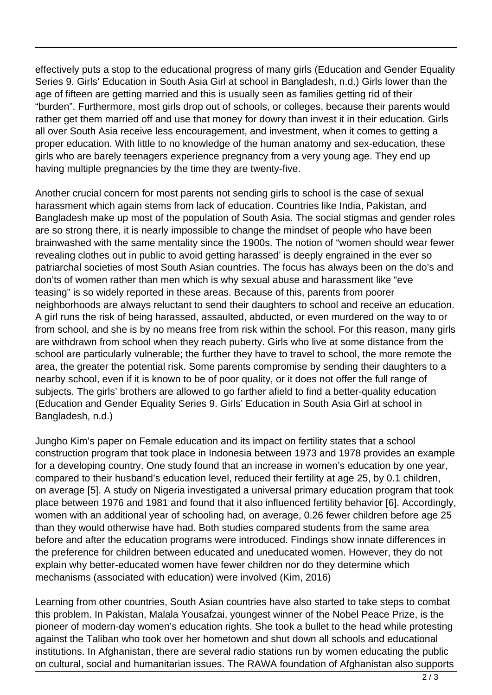effectively puts a stop to the educational progress of many girls (Education and Gender Equality Series 9. Girls' Education in South Asia Girl at school in Bangladesh, n.d.) Girls lower than the age of fifteen are getting married and this is usually seen as families getting rid of their "burden". Furthermore, most girls drop out of schools, or colleges, because their parents would rather get them married off and use that money for dowry than invest it in their education. Girls all over South Asia receive less encouragement, and investment, when it comes to getting a proper education. With little to no knowledge of the human anatomy and sex-education, these girls who are barely teenagers experience pregnancy from a very young age. They end up having multiple pregnancies by the time they are twenty-five.

Another crucial concern for most parents not sending girls to school is the case of sexual harassment which again stems from lack of education. Countries like India, Pakistan, and Bangladesh make up most of the population of South Asia. The social stigmas and gender roles are so strong there, it is nearly impossible to change the mindset of people who have been brainwashed with the same mentality since the 1900s. The notion of "women should wear fewer revealing clothes out in public to avoid getting harassed' is deeply engrained in the ever so patriarchal societies of most South Asian countries. The focus has always been on the do's and don'ts of women rather than men which is why sexual abuse and harassment like "eve teasing" is so widely reported in these areas. Because of this, parents from poorer neighborhoods are always reluctant to send their daughters to school and receive an education. A girl runs the risk of being harassed, assaulted, abducted, or even murdered on the way to or from school, and she is by no means free from risk within the school. For this reason, many girls are withdrawn from school when they reach puberty. Girls who live at some distance from the school are particularly vulnerable; the further they have to travel to school, the more remote the area, the greater the potential risk. Some parents compromise by sending their daughters to a nearby school, even if it is known to be of poor quality, or it does not offer the full range of subjects. The girls' brothers are allowed to go farther afield to find a better-quality education (Education and Gender Equality Series 9. Girls' Education in South Asia Girl at school in Bangladesh, n.d.)

Jungho Kim's paper on Female education and its impact on fertility states that a school construction program that took place in Indonesia between 1973 and 1978 provides an example for a developing country. One study found that an increase in women's education by one year, compared to their husband's education level, reduced their fertility at age 25, by 0.1 children, on average [5]. A study on Nigeria investigated a universal primary education program that took place between 1976 and 1981 and found that it also influenced fertility behavior [6]. Accordingly, women with an additional year of schooling had, on average, 0.26 fewer children before age 25 than they would otherwise have had. Both studies compared students from the same area before and after the education programs were introduced. Findings show innate differences in the preference for children between educated and uneducated women. However, they do not explain why better-educated women have fewer children nor do they determine which mechanisms (associated with education) were involved (Kim, 2016)

Learning from other countries, South Asian countries have also started to take steps to combat this problem. In Pakistan, Malala Yousafzai, youngest winner of the Nobel Peace Prize, is the pioneer of modern-day women's education rights. She took a bullet to the head while protesting against the Taliban who took over her hometown and shut down all schools and educational institutions. In Afghanistan, there are several radio stations run by women educating the public on cultural, social and humanitarian issues. The RAWA foundation of Afghanistan also supports